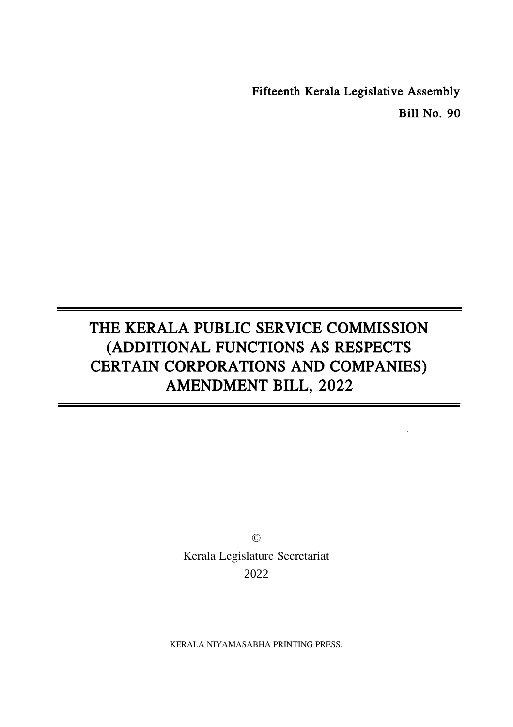Fifteenth Kerala Legislative Assembly Bill No. 90

# THE KERALA PUBLIC SERVICE COMMISSION (ADDITIONAL FUNCTIONS AS RESPECTS CERTAIN CORPORATIONS AND COMPANIES) AMENDMENT BILL, 2022

© Kerala Legislature Secretariat 2022

KERALA NIYAMASABHA PRINTING PRESS.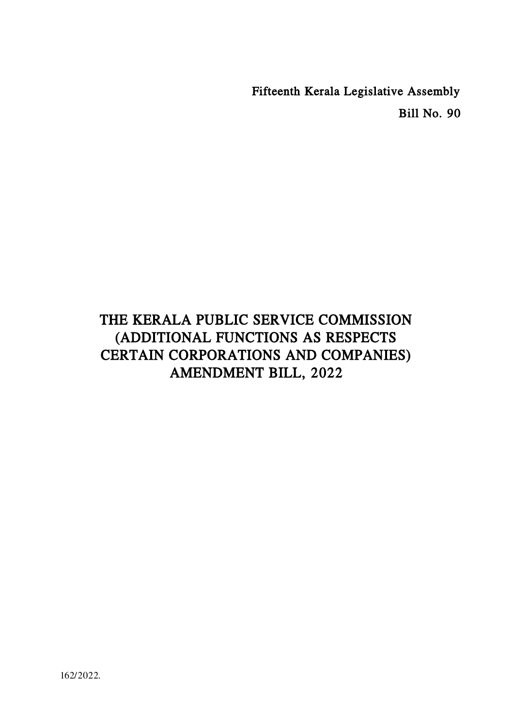Fifteenth Kerala Legislative Assembly Bill No. 90

## THE KERALA PUBLIC SERVICE COMMISSION (ADDITIONAL FUNCTIONS AS RESPECTS CERTAIN CORPORATIONS AND COMPANIES) AMENDMENT BILL, 2022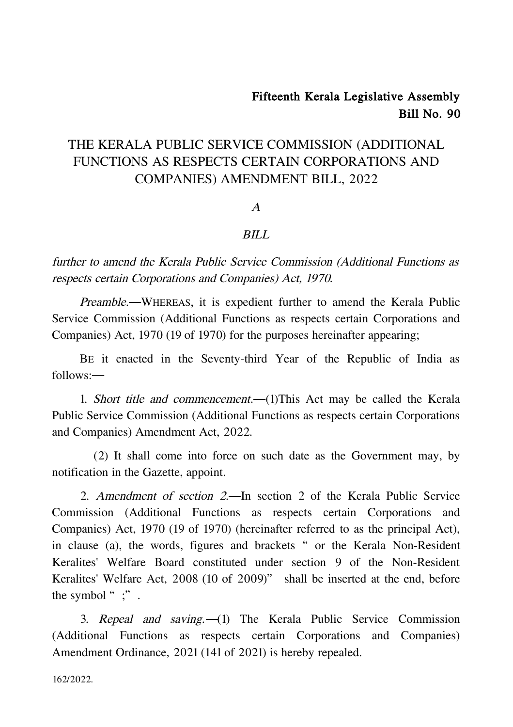### Fifteenth Kerala Legislative Assembly Bill No. 90

### THE KERALA PUBLIC SERVICE COMMISSION (ADDITIONAL FUNCTIONS AS RESPECTS CERTAIN CORPORATIONS AND COMPANIES) AMENDMENT BILL, 2022

A

#### BILL

further to amend the Kerala Public Service Commission (Additional Functions as respects certain Corporations and Companies) Act, 1970.

Preamble.―WHEREAS, it is expedient further to amend the Kerala Public Service Commission (Additional Functions as respects certain Corporations and Companies) Act, 1970 (19 of 1970) for the purposes hereinafter appearing;

BE it enacted in the Seventy-third Year of the Republic of India as follows:―

1. Short title and commencement.―(1)This Act may be called the Kerala Public Service Commission (Additional Functions as respects certain Corporations and Companies) Amendment Act, 2022.

(2) It shall come into force on such date as the Government may, by notification in the Gazette, appoint.

2. Amendment of section 2.―In section 2 of the Kerala Public Service Commission (Additional Functions as respects certain Corporations and Companies) Act, 1970 (19 of 1970) (hereinafter referred to as the principal Act), in clause (a), the words, figures and brackets "or the Kerala Non-Resident Keralites' Welfare Board constituted under section 9 of the Non-Resident Keralites' Welfare Act, 2008 (10 of 2009)" shall be inserted at the end, before the symbol ";".

3. Repeal and saving.―(1) The Kerala Public Service Commission (Additional Functions as respects certain Corporations and Companies) Amendment Ordinance, 2021 (141 of 2021) is hereby repealed.

162/2022.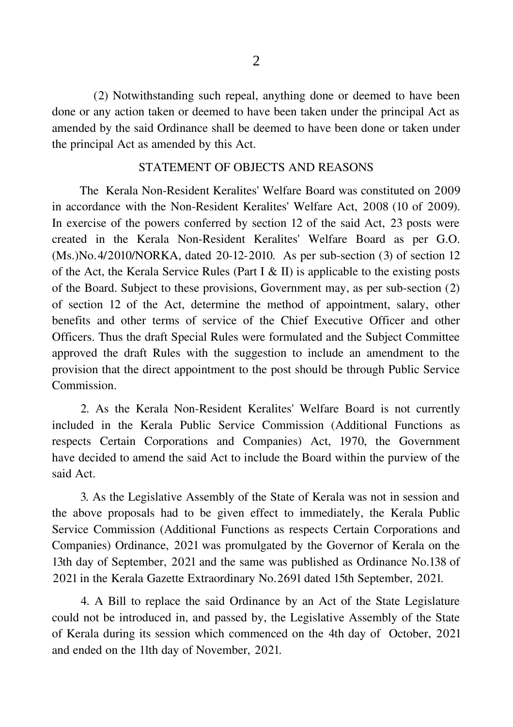(2) Notwithstanding such repeal, anything done or deemed to have been done or any action taken or deemed to have been taken under the principal Act as amended by the said Ordinance shall be deemed to have been done or taken under the principal Act as amended by this Act.

#### STATEMENT OF OBJECTS AND REASONS

The Kerala Non-Resident Keralites' Welfare Board was constituted on 2009 in accordance with the Non-Resident Keralites' Welfare Act, 2008 (10 of 2009). In exercise of the powers conferred by section 12 of the said Act, 23 posts were created in the Kerala Non-Resident Keralites' Welfare Board as per G.O. (Ms.)No.4/2010/NORKA, dated 20-12-2010. As per sub-section (3) of section 12 of the Act, the Kerala Service Rules (Part I & II) is applicable to the existing posts of the Board. Subject to these provisions, Government may, as per sub-section (2) of section 12 of the Act, determine the method of appointment, salary, other benefits and other terms of service of the Chief Executive Officer and other Officers. Thus the draft Special Rules were formulated and the Subject Committee approved the draft Rules with the suggestion to include an amendment to the provision that the direct appointment to the post should be through Public Service Commission.

2. As the Kerala Non-Resident Keralites' Welfare Board is not currently included in the Kerala Public Service Commission (Additional Functions as respects Certain Corporations and Companies) Act, 1970, the Government have decided to amend the said Act to include the Board within the purview of the said Act.

3. As the Legislative Assembly of the State of Kerala was not in session and the above proposals had to be given effect to immediately, the Kerala Public Service Commission (Additional Functions as respects Certain Corporations and Companies) Ordinance, 2021 was promulgated by the Governor of Kerala on the 13th day of September, 2021 and the same was published as Ordinance No.138 of 2021 in the Kerala Gazette Extraordinary No.2691 dated 15th September, 2021.

4. A Bill to replace the said Ordinance by an Act of the State Legislature could not be introduced in, and passed by, the Legislative Assembly of the State of Kerala during its session which commenced on the 4th day of October, 2021 and ended on the 11th day of November, 2021.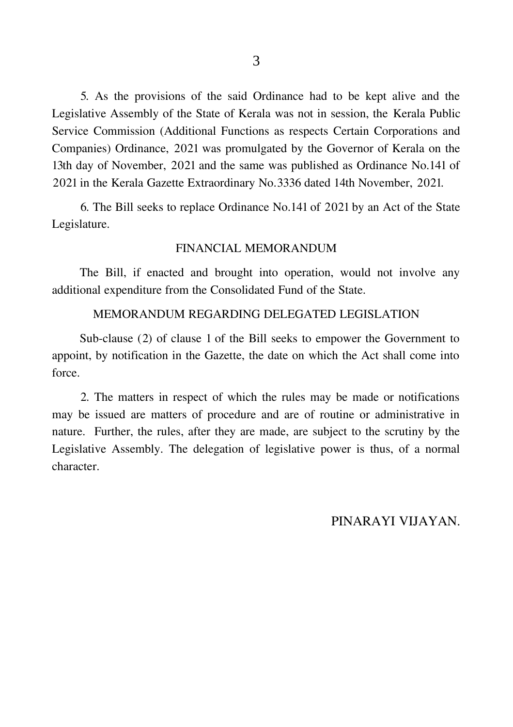5. As the provisions of the said Ordinance had to be kept alive and the Legislative Assembly of the State of Kerala was not in session, the Kerala Public Service Commission (Additional Functions as respects Certain Corporations and Companies) Ordinance, 2021 was promulgated by the Governor of Kerala on the 13th day of November, 2021 and the same was published as Ordinance No.141 of 2021 in the Kerala Gazette Extraordinary No.3336 dated 14th November, 2021.

6. The Bill seeks to replace Ordinance No.141 of 2021 by an Act of the State Legislature.

#### FINANCIAL MEMORANDUM

The Bill, if enacted and brought into operation, would not involve any additional expenditure from the Consolidated Fund of the State.

#### MEMORANDUM REGARDING DELEGATED LEGISLATION

Sub-clause (2) of clause 1 of the Bill seeks to empower the Government to appoint, by notification in the Gazette, the date on which the Act shall come into force.

2. The matters in respect of which the rules may be made or notifications may be issued are matters of procedure and are of routine or administrative in nature. Further, the rules, after they are made, are subject to the scrutiny by the Legislative Assembly. The delegation of legislative power is thus, of a normal character.

PINARAYI VIJAYAN.